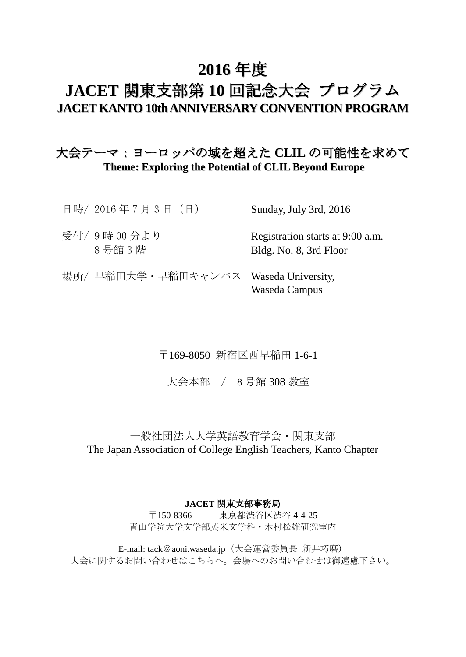# **2016** 年度

# **JACET** 関東支部第 **10** 回記念大会 プログラム **JACETKANTO 10thANNIVERSARYCONVENTION PROGRAM**

# 大会テーマ:ヨーロッパの域を超えた **CLIL** の可能性を求めて **Theme: Exploring the Potential of CLIL Beyond Europe**

| 日時/ 2016年7月3日 (日)                     | Sunday, July 3rd, 2016                                     |
|---------------------------------------|------------------------------------------------------------|
| 受付/ 9時00分より<br>8号館3階                  | Registration starts at 9:00 a.m.<br>Bldg. No. 8, 3rd Floor |
| 場所/ 早稲田大学・早稲田キャンパス Waseda University, | Waseda Campus                                              |

〒169-8050 新宿区西早稲田 1-6-1

大会本部 / 8 号館 308 教室

一般社団法人大学英語教育学会・関東支部 The Japan Association of College English Teachers, Kanto Chapter

#### **JACET** 関東支部事務局

〒150-8366 東京都渋谷区渋谷 4-4-25 青山学院大学文学部英米文学科・木村松雄研究室内

E-mail: tack@aoni.waseda.jp(大会運営委員長 新井巧磨) 大会に関するお問い合わせはこちらへ。会場へのお問い合わせは御遠慮下さい。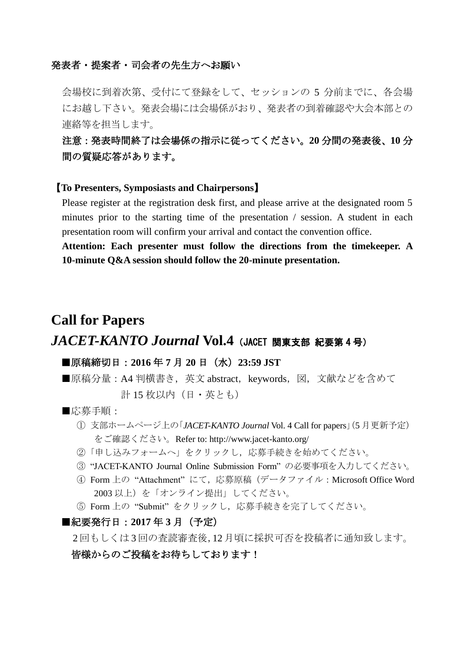#### 発表者・提案者・司会者の先生方へお願い

会場校に到着次第、受付にて登録をして、セッションの 5 分前までに、各会場 にお越し下さい。発表会場には会場係がおり、発表者の到着確認や大会本部との 連絡等を担当します。

# 注意:発表時間終了は会場係の指示に従ってください。**20** 分間の発表後、**10** 分 間の質疑応答があります。

#### 【**To Presenters, Symposiasts and Chairpersons**】

Please register at the registration desk first, and please arrive at the designated room 5 minutes prior to the starting time of the presentation  $\ell$  session. A student in each presentation room will confirm your arrival and contact the convention office.

**Attention: Each presenter must follow the directions from the timekeeper. A 10-minute Q&A session should follow the 20-minute presentation.**

# **Call for Papers**

# *JACET-KANTO Journal* **Vol.4**(JACET 関東支部 紀要第 <sup>4</sup> 号)

#### ■原稿締切日:**2016** 年 **7** 月 **20** 日(水)**23:59 JST**

■原稿分量: A4 判横書き,英文 abstract, keywords, 図, 文献などを含めて 計15枚以内(日·英とも)

#### ■応募手順:

- ① 支部ホームページ上の「*JACET-KANTO Journal* Vol. 4 Call for papers」(5 月更新予定) をご確認ください。Refer to: http://www.jacet-kanto.org/
- ②「申し込みフォームへ」をクリックし,応募手続きを始めてください。
- ③ "JACET-KANTO Journal Online Submission Form" の必要事項を入力してください。
- ④ Form 上の "Attachment" にて,応募原稿(データファイル:Microsoft Office Word 2003 以上)を「オンライン提出」してください。
- ⑤ Form 上の "Submit" をクリックし,応募手続きを完了してください。

#### ■紀要発行日:**2017** 年 **3** 月(予定)

2 回もしくは 3 回の査読審査後,12 月頃に採択可否を投稿者に通知致します。 皆様からのご投稿をお待ちしております!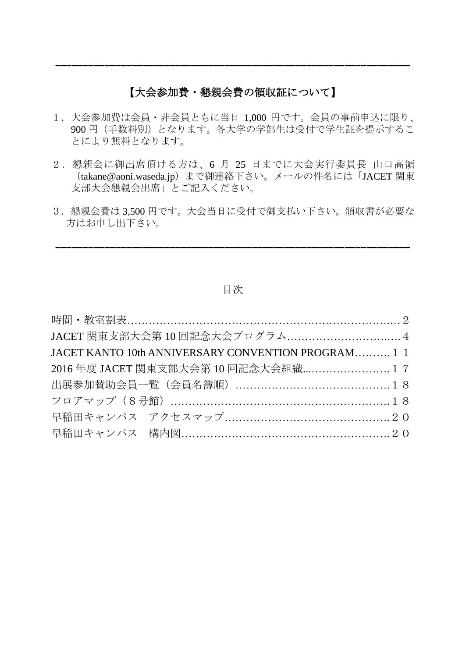# 【大会参加費・懇親会費の領収証について】

-----------------------------------------------------------------

- 1.大会参加費は会員・非会員ともに当日 1,000 円です。会員の事前申込に限り、 900 円(手数料別)となります。各大学の学部生は受付で学生証を提示するこ とにより無料となります。
- 2.懇親会に御出席頂ける方は、6 月 25 日までに大会実行委員長 山口高領 (takane@aoni.waseda.jp)まで御連絡下さい。メールの件名には「JACET 関東 支部大会懇親会出席」とご記入ください。
- 3.懇親会費は 3,500 円です。大会当日に受付で御支払い下さい。領収書が必要な 方はお申し出下さい。

-----------------------------------------------------------------

目次

| JACET 関東支部大会第10回記念大会プログラム4                          |  |
|-----------------------------------------------------|--|
| JACET KANTO 10th ANNIVERSARY CONVENTION PROGRAM 1 1 |  |
| 2016年度 JACET 関東支部大会第 10 回記念大会組織 1 7                 |  |
|                                                     |  |
|                                                     |  |
|                                                     |  |
|                                                     |  |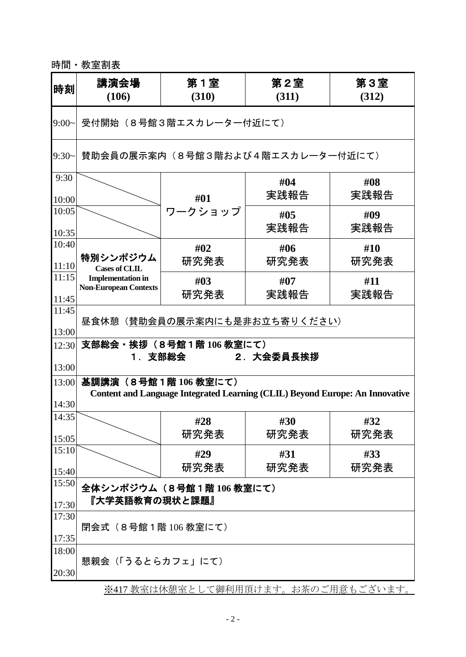時間・教室割表

| 時刻             | 講演会場<br>(106)                                            | 第1室<br>(310) | 第2室<br>(311)                                                                 | 第3室<br>(312) |
|----------------|----------------------------------------------------------|--------------|------------------------------------------------------------------------------|--------------|
| $9:00-$        | 受付開始(8号館3階エスカレーター付近にて)                                   |              |                                                                              |              |
| $9:30-$        | 賛助会員の展示案内 (8号館3階および4階エスカレーター付近にて)                        |              |                                                                              |              |
| 9:30<br>10:00  |                                                          | #01          | #04<br>実践報告                                                                  | #08<br>実践報告  |
| 10:05<br>10:35 |                                                          | ワークショップ      | #05<br>実践報告                                                                  | #09<br>実践報告  |
| 10:40<br>11:10 | 特別シンポジウム<br><b>Cases of CLIL</b>                         | #02<br>研究発表  | #06<br>研究発表                                                                  | #10<br>研究発表  |
| 11:15<br>11:45 | <b>Implementation</b> in<br><b>Non-European Contexts</b> | #03<br>研究発表  | #07<br>実践報告                                                                  | #11<br>実践報告  |
| 11:45<br>13:00 |                                                          |              | 昼食休憩(賛助会員の展示案内にも是非お立ち寄りください)                                                 |              |
| 12:30<br>13:00 | 支部総会・挨拶 (8号館1階106教室にて)<br>1. 支部総会<br>2. 大会委員長挨拶          |              |                                                                              |              |
| 13:00<br>14:30 | 基調講演 (8号館1階106教室にて)                                      |              | Content and Language Integrated Learning (CLIL) Beyond Europe: An Innovative |              |
| 14:35<br>15:05 |                                                          | #28<br>研究発表  | #30<br>研究発表                                                                  | #32<br>研究発表  |
| 15:10<br>15:40 |                                                          | #29<br>研究発表  | #31<br>研究発表                                                                  | #33<br>研究発表  |
| 15:50<br>17:30 | 全体シンポジウム (8号館1階 106 教室にて)<br>『大学英語教育の現状と課題』              |              |                                                                              |              |
| 17:30<br>17:35 | 閉会式 (8号館1階 106教室にて)                                      |              |                                                                              |              |
| 18:00<br>20:30 | 懇親会(「うるとらカフェ」にて)                                         |              |                                                                              |              |
|                |                                                          |              | ※417 教室は休憩室として御利用頂けます。お茶のご用意もございます。                                          |              |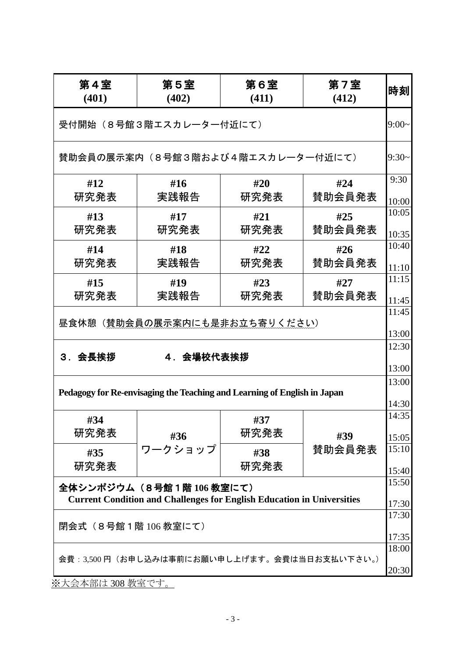| 第5室<br>(402)                                                             | 第6室<br>(411) | 第7室<br>(412)  | 時刻                                                                                                                       |
|--------------------------------------------------------------------------|--------------|---------------|--------------------------------------------------------------------------------------------------------------------------|
| (401)<br>受付開始 (8号館3階エスカレーター付近にて)                                         |              |               |                                                                                                                          |
|                                                                          |              |               | $9:30-$                                                                                                                  |
| #16<br>実践報告                                                              | #20<br>研究発表  | #24<br>賛助会員発表 | 9:30<br>10:00                                                                                                            |
| #17<br>研究発表                                                              | #21<br>研究発表  | #25<br>賛助会員発表 | 10:05<br>10:35                                                                                                           |
| #18<br>実践報告                                                              | #22<br>研究発表  | #26<br>賛助会員発表 | 10:40<br>11:10                                                                                                           |
| #19<br>実践報告                                                              | #23<br>研究発表  | #27<br>賛助会員発表 | 11:15<br>11:45                                                                                                           |
| 昼食休憩(賛助会員の展示案内にも是非お立ち寄りください)                                             |              |               |                                                                                                                          |
| 3. 会長挨拶<br>4. 会場校代表挨拶                                                    |              |               |                                                                                                                          |
| Pedagogy for Re-envisaging the Teaching and Learning of English in Japan |              |               |                                                                                                                          |
|                                                                          | #37          |               | 14:30<br>14:35                                                                                                           |
| ワークショップ                                                                  | #38          | 賛助会員発表        | 15:05<br>15:10<br>15:40                                                                                                  |
| 研究発表<br>全体シンポジウム (8号館1階106教室にて)                                          |              |               |                                                                                                                          |
| 閉会式 (8号館1階106教室にて)                                                       |              |               |                                                                                                                          |
| 会費: 3,500円 (お申し込みは事前にお願い申し上げます。会費は当日お支払い下さい。)<br>20:30                   |              |               |                                                                                                                          |
|                                                                          | #36          | 研究発表<br>研究発表  | 賛助会員の展示案内(8号館3階および4階エスカレーター付近にて)<br>#39<br><b>Current Condition and Challenges for English Education in Universities</b> |

※大会本部は 308 教室です。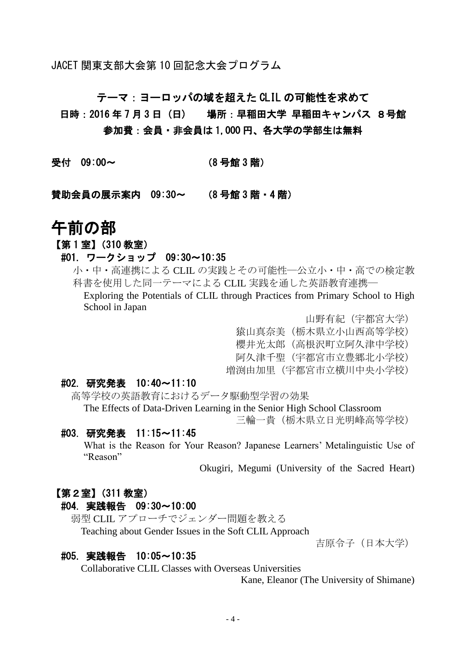JACET 関東支部大会第 10 回記念大会プログラム

テーマ:ヨーロッパの域を超えた CLIL の可能性を求めて

日時: 2016年7月3日(日) 場所:早稲田大学 早稲田キャンパス 8号館 参加費:会員・非会員は 1,000 円、各大学の学部生は無料

受付 09:00~ (8 号館 3 階)

賛助会員の展示案内 09:30~ (8 号館 3 階・4 階)

# 午前の部

#### 【第 1 室】(310 教室)

#### #01. ワークショップ 09:30~10:35

小・中・高連携による CLIL の実践とその可能性―公立小・中・高での検定教 科書を使用した同一テーマによる CLIL 実践を通した英語教育連携― Exploring the Potentials of CLIL through Practices from Primary School to High

School in Japan

山野有紀(宇都宮大学)

猿山真奈美(栃木県立小山西高等学校)

櫻井光太郎(高根沢町立阿久津中学校)

阿久津千聖(宇都宮市立豊郷北小学校)

増渕由加里(宇都宮市立横川中央小学校)

#### #02. 研究発表 10:40~11:10

高等学校の英語教育におけるデータ駆動型学習の効果

The Effects of Data-Driven Learning in the Senior High School Classroom

三輪一貴(栃木県立日光明峰高等学校)

## #03. 研究発表 11:15~11:45

What is the Reason for Your Reason? Japanese Learners' Metalinguistic Use of "Reason"

Okugiri, Megumi (University of the Sacred Heart)

# 【第2室】(311 教室)

## #04. 実践報告 09:30~10:00

弱型 CLIL アプローチでジェンダー問題を教える Teaching about Gender Issues in the Soft CLIL Approach

吉原令子(日本大学)

## #05. 実践報告 10:05~10:35

Collaborative CLIL Classes with Overseas Universities

Kane, Eleanor (The University of Shimane)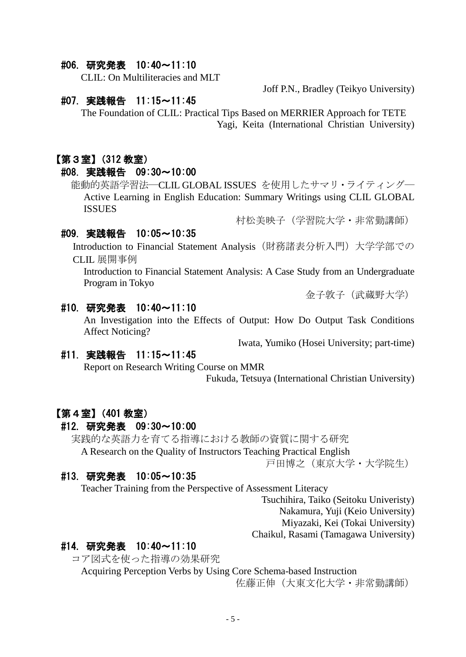## #06. 研究発表 10:40~11:10

CLIL: On Multiliteracies and MLT

Joff P.N., Bradley (Teikyo University)

# #07. 実践報告 11:15~11:45

The Foundation of CLIL: Practical Tips Based on MERRIER Approach for TETE Yagi, Keita (International Christian University)

# 【第3室】(312 教室)

#### #08. 実践報告 09:30~10:00

能動的英語学習法―CLIL GLOBAL ISSUES を使用したサマリ・ライティング― Active Learning in English Education: Summary Writings using CLIL GLOBAL ISSUES

村松美映子(学習院大学・非常勤講師)

# #09. 実践報告 10:05~10:35

Introduction to Financial Statement Analysis(財務諸表分析入門)大学学部での CLIL 展開事例

Introduction to Financial Statement Analysis: A Case Study from an Undergraduate Program in Tokyo

金子敦子(武蔵野大学)

#### #10. 研究発表 10:40~11:10

An Investigation into the Effects of Output: How Do Output Task Conditions Affect Noticing?

Iwata, Yumiko (Hosei University; part-time)

#11. 実践報告 11:15~11:45

Report on Research Writing Course on MMR

Fukuda, Tetsuya (International Christian University)

## 【第4室】(401 教室)

#### #12. 研究発表 09:30~10:00

実践的な英語力を育てる指導における教師の資質に関する研究 A Research on the Quality of Instructors Teaching Practical English

戸田博之(東京大学・大学院生)

#### #13. 研究発表 10:05~10:35

Teacher Training from the Perspective of Assessment Literacy

Tsuchihira, Taiko (Seitoku Univeristy)

Nakamura, Yuji (Keio University)

Miyazaki, Kei (Tokai University)

Chaikul, Rasami (Tamagawa University)

#### #14. 研究発表 10:40~11:10

コア図式を使った指導の効果研究

Acquiring Perception Verbs by Using Core Schema-based Instruction

佐藤正伸(大東文化大学・非常勤講師)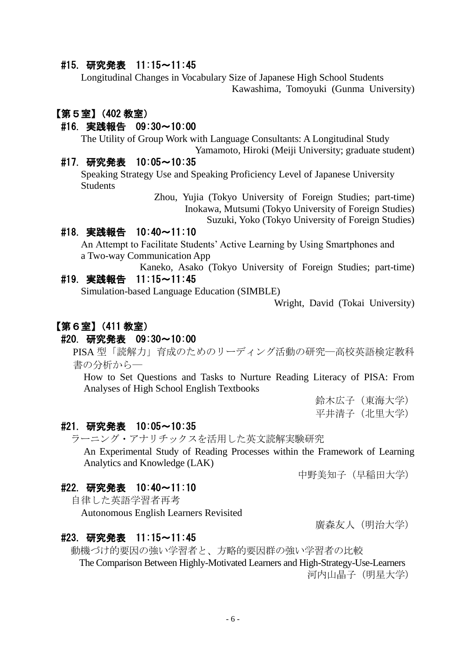## #15. 研究発表 11:15~11:45

Longitudinal Changes in Vocabulary Size of Japanese High School Students Kawashima, Tomoyuki (Gunma University)

# 【第5室】(402 教室)

# #16. 実践報告 09:30~10:00

The Utility of Group Work with Language Consultants: A Longitudinal Study

# Yamamoto, Hiroki (Meiji University; graduate student)

# #17. 研究発表 10:05~10:35

Speaking Strategy Use and Speaking Proficiency Level of Japanese University **Students** 

> Zhou, Yujia (Tokyo University of Foreign Studies; part-time) Inokawa, Mutsumi (Tokyo University of Foreign Studies) Suzuki, Yoko (Tokyo University of Foreign Studies)

# #18. 実践報告 10:40~11:10

An Attempt to Facilitate Students' Active Learning by Using Smartphones and a Two-way Communication App

Kaneko, Asako (Tokyo University of Foreign Studies; part-time) #19. 実践報告 11:15~11:45

Simulation-based Language Education (SIMBLE)

Wright, David (Tokai University)

# 【第6室】(411 教室)

## #20. 研究発表 09:30~10:00

PISA 型「読解力」育成のためのリーディング活動の研究―高校英語検定教科 書の分析から―

How to Set Questions and Tasks to Nurture Reading Literacy of PISA: From Analyses of High School English Textbooks

鈴木広子(東海大学) 平井清子(北里大学)

# #21. 研究発表 10:05~10:35

ラーニング・アナリチックスを活用した英文読解実験研究

An Experimental Study of Reading Processes within the Framework of Learning Analytics and Knowledge (LAK)

中野美知子(早稲田大学)

# #22. 研究発表 10:40~11:10

自律した英語学習者再考 Autonomous English Learners Revisited

廣森友人(明治大学)

# #23. 研究発表 11:15~11:45

動機づけ的要因の強い学習者と、方略的要因群の強い学習者の比較 The Comparison Between Highly-Motivated Learners and High-Strategy-Use-Learners 河内山晶子(明星大学)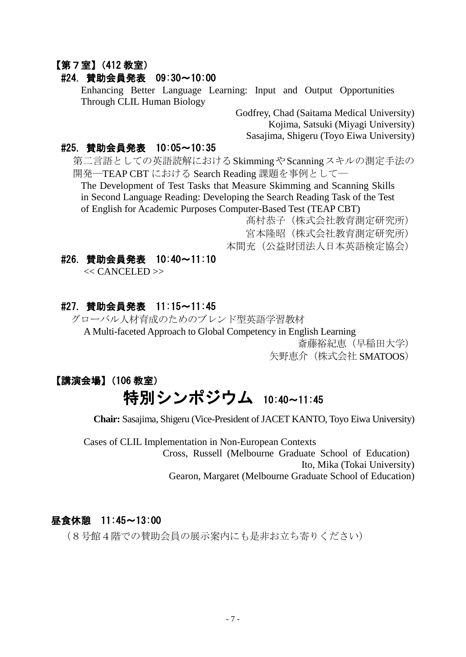## 【第7室】(412 教室)

#### #24. 賛助会員発表 09:30~10:00

Enhancing Better Language Learning: Input and Output Opportunities Through CLIL Human Biology

> Godfrey, Chad (Saitama Medical University) Kojima, Satsuki (Miyagi University) Sasajima, Shigeru (Toyo Eiwa University)

### #25. 賛助会員発表 10:05~10:35

第二言語としての英語読解におけるSkimmingやScanningスキルの測定手法の 開発―TEAP CBT における Search Reading 課題を事例として―

The Development of Test Tasks that Measure Skimming and Scanning Skills in Second Language Reading: Developing the Search Reading Task of the Test of English for Academic Purposes Computer-Based Test (TEAP CBT)

髙村恭子(株式会社教育測定研究所) 宮本隆昭(株式会社教育測定研究所) 本間充(公益財団法人日本英語検定協会)

#### #26. 賛助会員発表 10:40~11:10

<< CANCELED >>

## #27. 賛助会員発表 11:15~11:45

グローバル人材育成のためのブレンド型英語学習教材 A Multi-faceted Approach to Global Competency in English Learning 斎藤裕紀恵(早稲田大学)

矢野恵介(株式会社 SMATOOS)

# 【講演会場】(106 教室) 特別シンポジウム 10:40~11:45

**Chair:** Sasajima, Shigeru (Vice-President of JACET KANTO, Toyo Eiwa University)

Cases of CLIL Implementation in Non-European Contexts Cross, Russell (Melbourne Graduate School of Education) Ito, Mika (Tokai University) Gearon, Margaret (Melbourne Graduate School of Education)

## 昼食休憩 11:45~13:00

(8号館4階での賛助会員の展示案内にも是非お立ち寄りください)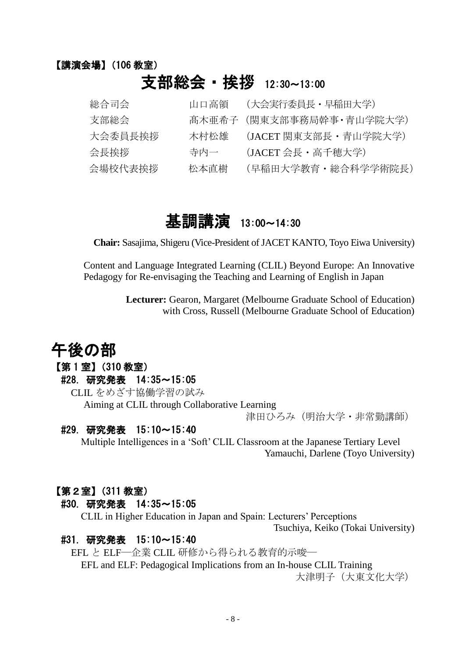## 【講演会場】(106 教室)

# 支部総会・挨拶 12:30~13:00

| 総合司会    | 山口高領 | (大会実行委員長・早稲田大学)          |
|---------|------|--------------------------|
| 支部総会    |      | 髙木亜希子 (関東支部事務局幹事・青山学院大学) |
| 大会委員長挨拶 | 木村松雄 | (JACET 関東支部長・青山学院大学)     |
| 会長挨拶    | 寺内一  | (JACET 会長・高千穂大学)         |
| 会場校代表挨拶 | 松本直樹 | (早稲田大学教育・総合科学学術院長)       |

# 基調講演 13:00~14:30

**Chair:** Sasajima, Shigeru (Vice-President of JACET KANTO, Toyo Eiwa University)

Content and Language Integrated Learning (CLIL) Beyond Europe: An Innovative Pedagogy for Re-envisaging the Teaching and Learning of English in Japan

> **Lecturer:** Gearon, Margaret (Melbourne Graduate School of Education) with Cross, Russell (Melbourne Graduate School of Education)

# 午後の部

# 【第 1 室】(310 教室)

#### #28. 研究発表 14:35~15:05

CLIL をめざす協働学習の試み Aiming at CLIL through Collaborative Learning

津田ひろみ(明治大学・非常勤講師)

## #29. 研究発表 15:10~15:40

Multiple Intelligences in a 'Soft' CLIL Classroom at the Japanese Tertiary Level Yamauchi, Darlene (Toyo University)

#### 【第2室】(311 教室)

#### #30. 研究発表 14:35~15:05

CLIL in Higher Education in Japan and Spain: Lecturers' Perceptions Tsuchiya, Keiko (Tokai University)

# #31. 研究発表 15:10~15:40

EFL と ELF―企業 CLIL 研修から得られる教育的示唆― EFL and ELF: Pedagogical Implications from an In-house CLIL Training 大津明子(大東文化大学)

- 8 -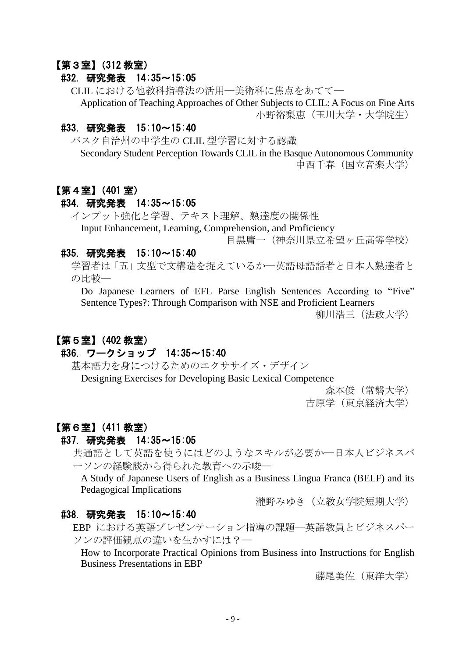#### 【第3室】(312 教室)

#### #32. 研究発表 14:35~15:05

CLIL における他教科指導法の活用―美術科に焦点をあてて― Application of Teaching Approaches of Other Subjects to CLIL: A Focus on Fine Arts 小野裕梨恵(玉川大学・大学院生)

#### #33. 研究発表 15:10~15:40

バスク自治州の中学生の CLIL 型学習に対する認識 Secondary Student Perception Towards CLIL in the Basque Autonomous Community 中西千春(国立音楽大学)

## 【第4室】(401 室)

### #34. 研究発表 14:35~15:05

インプット強化と学習、テキスト理解、熟達度の関係性 Input Enhancement, Learning, Comprehension, and Proficiency

目黒庸一(神奈川県立希望ヶ丘高等学校)

### #35. 研究発表 15:10~15:40

学習者は「五」文型で文構造を捉えているか―英語母語話者と日本人熟達者と の比較―

Do Japanese Learners of EFL Parse English Sentences According to "Five" Sentence Types?: Through Comparison with NSE and Proficient Learners

柳川浩三(法政大学)

## 【第5室】(402 教室)

#### #36. ワークショップ 14:35~15:40

基本語力を身につけるためのエクササイズ・デザイン

Designing Exercises for Developing Basic Lexical Competence

森本俊(常磐大学) 吉原学(東京経済大学)

#### 【第6室】(411 教室)

# #37. 研究発表 14:35~15:05

共通語として英語を使うにはどのようなスキルが必要か―日本人ビジネスパ ーソンの経験談から得られた教育への示唆―

A Study of Japanese Users of English as a Business Lingua Franca (BELF) and its Pedagogical Implications

瀧野みゆき(立教女学院短期大学)

#### #38. 研究発表 15:10~15:40

EBP における英語プレゼンテーション指導の課題―英語教員とビジネスパー ソンの評価観点の違いを生かすには?―

How to Incorporate Practical Opinions from Business into Instructions for English Business Presentations in EBP

藤尾美佐(東洋大学)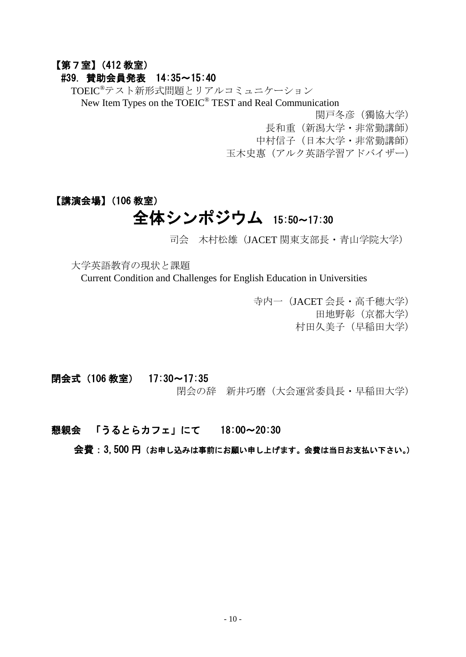#### 【第7室】(412 教室)

## #39. 賛助会員発表 14:35~15:40

TOEIC®テスト新形式問題とリアルコミュニケーション New Item Types on the TOEIC® TEST and Real Communication 関戸冬彦(獨協大学) 長和重(新潟大学・非常勤講師) 中村信子(日本大学・非常勤講師) 玉木史惠(アルク英語学習アドバイザー)

# 【講演会場】(106 教室) 全体シンポジウム 15:50~17:30

司会 木村松雄(JACET 関東支部長·青山学院大学)

大学英語教育の現状と課題 Current Condition and Challenges for English Education in Universities

> 寺内一(JACET 会長・高千穂大学) 田地野彰(京都大学) 村田久美子(早稲田大学)

閉会式(106 教室) 17:30~17:35

閉会の辞 新井巧磨(大会運営委員長・早稲田大学)

懇親会 「うるとらカフェ」にて 18:00~20:30

会費:3,500 円(お申し込みは事前にお願い申し上げます。会費は当日お支払い下さい。)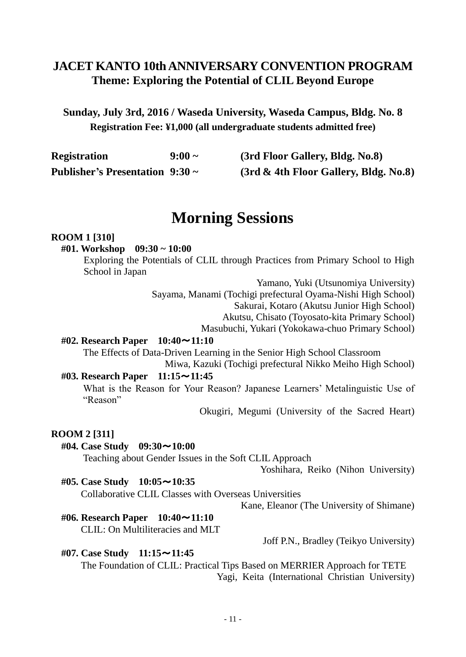# **JACET KANTO 10th ANNIVERSARY CONVENTION PROGRAM Theme: Exploring the Potential of CLIL Beyond Europe**

**Sunday, July 3rd, 2016 / Waseda University, Waseda Campus, Bldg. No. 8 Registration Fee: ¥1,000 (all undergraduate students admitted free)**

| <b>Registration</b>                  | $9:00 \sim$ | (3rd Floor Gallery, Bldg. No.8)          |
|--------------------------------------|-------------|------------------------------------------|
| Publisher's Presentation $9:30 \sim$ |             | $(3rd \& 4th Floor Gallery, Bldg. No.8)$ |

# **Morning Sessions**

#### **ROOM 1 [310]**

#### **#01. Workshop 09:30 ~ 10:00**

Exploring the Potentials of CLIL through Practices from Primary School to High School in Japan

Yamano, Yuki (Utsunomiya University)

Sayama, Manami (Tochigi prefectural Oyama-Nishi High School) Sakurai, Kotaro (Akutsu Junior High School) Akutsu, Chisato (Toyosato-kita Primary School)

Masubuchi, Yukari (Yokokawa-chuo Primary School)

#### **#02. Research Paper 10:40**~**11:10**

The Effects of Data-Driven Learning in the Senior High School Classroom

Miwa, Kazuki (Tochigi prefectural Nikko Meiho High School)

#### **#03. Research Paper 11:15**~**11:45**

What is the Reason for Your Reason? Japanese Learners' Metalinguistic Use of "Reason"

Okugiri, Megumi (University of the Sacred Heart)

#### **ROOM 2 [311]**

### **#04. Case Study 09:30**~**10:00**

Teaching about Gender Issues in the Soft CLIL Approach

Yoshihara, Reiko (Nihon University)

#### **#05. Case Study 10:05**~**10:35**

Collaborative CLIL Classes with Overseas Universities

Kane, Eleanor (The University of Shimane)

## **#06. Research Paper 10:40**~**11:10**

CLIL: On Multiliteracies and MLT

Joff P.N., Bradley (Teikyo University)

#### **#07. Case Study 11:15**~**11:45**

The Foundation of CLIL: Practical Tips Based on MERRIER Approach for TETE Yagi, Keita (International Christian University)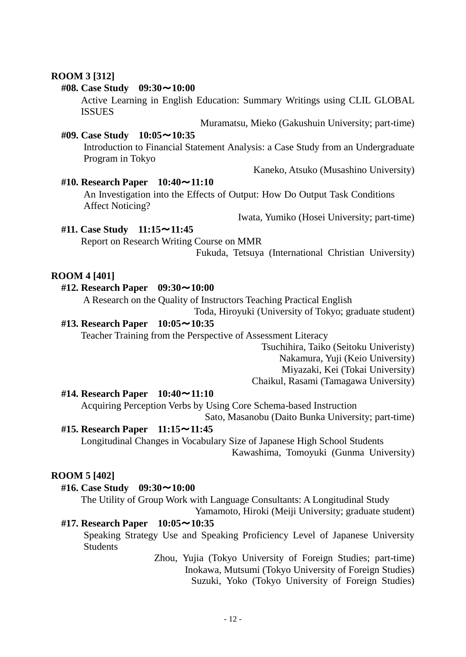#### **#14. Research Paper 10:40**~**11:10**

Acquiring Perception Verbs by Using Core Schema-based Instruction Sato, Masanobu (Daito Bunka University; part-time)

#### **#15. Research Paper 11:15**~**11:45**

Longitudinal Changes in Vocabulary Size of Japanese High School Students Kawashima, Tomoyuki (Gunma University)

#### **ROOM 5 [402]**

#### **#16. Case Study 09:30**~**10:00**

The Utility of Group Work with Language Consultants: A Longitudinal Study Yamamoto, Hiroki (Meiji University; graduate student)

## **#17. Research Paper 10:05**~**10:35**

Speaking Strategy Use and Speaking Proficiency Level of Japanese University Students

> Zhou, Yujia (Tokyo University of Foreign Studies; part-time) Inokawa, Mutsumi (Tokyo University of Foreign Studies) Suzuki, Yoko (Tokyo University of Foreign Studies)

Report on Research Writing Course on MMR

# **ROOM 4 [401]**

### **#12. Research Paper 09:30**~**10:00**

A Research on the Quality of Instructors Teaching Practical English Toda, Hiroyuki (University of Tokyo; graduate student)

# **#13. Research Paper 10:05**~**10:35**

Teacher Training from the Perspective of Assessment Literacy

Tsuchihira, Taiko (Seitoku Univeristy)

Nakamura, Yuji (Keio University)

Miyazaki, Kei (Tokai University)

Chaikul, Rasami (Tamagawa University)

#### An Investigation into the Effects of Output: How Do Output Task Conditions Affect Noticing?

**#11. Case Study 11:15**~**11:45**

Program in Tokyo Kaneko, Atsuko (Musashino University) **#10. Research Paper 10:40**~**11:10**

Introduction to Financial Statement Analysis: a Case Study from an Undergraduate

**#09. Case Study 10:05**~**10:35**

 Active Learning in English Education: Summary Writings using CLIL GLOBAL ISSUES

Muramatsu, Mieko (Gakushuin University; part-time)

Fukuda, Tetsuya (International Christian University)

Iwata, Yumiko (Hosei University; part-time)

#### **ROOM 3 [312] #08. Case Study 09:30**~**10:00**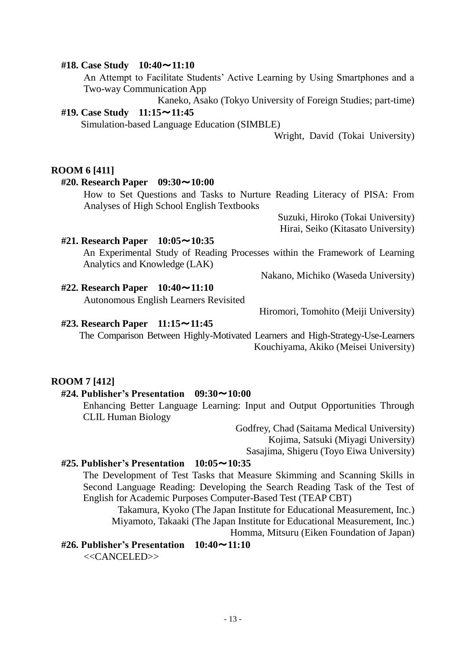#### - 13 -

#### **#18. Case Study 10:40**~**11:10**

An Attempt to Facilitate Students' Active Learning by Using Smartphones and a Two-way Communication App

Kaneko, Asako (Tokyo University of Foreign Studies; part-time)

# **#19. Case Study 11:15**~**11:45**

Simulation-based Language Education (SIMBLE)

Wright, David (Tokai University)

#### **ROOM 6 [411]**

#### **#20. Research Paper 09:30**~**10:00**

How to Set Questions and Tasks to Nurture Reading Literacy of PISA: From Analyses of High School English Textbooks

> Suzuki, Hiroko (Tokai University) Hirai, Seiko (Kitasato University)

#### **#21. Research Paper 10:05**~**10:35**

An Experimental Study of Reading Processes within the Framework of Learning Analytics and Knowledge (LAK)

Nakano, Michiko (Waseda University)

#### **#22. Research Paper 10:40**~**11:10**

Autonomous English Learners Revisited

Hiromori, Tomohito (Meiji University)

#### **#23. Research Paper 11:15**~**11:45**

The Comparison Between Highly-Motivated Learners and High-Strategy-Use-Learners Kouchiyama, Akiko (Meisei University)

#### **ROOM 7 [412]**

#### **#24. Publisher's Presentation 09:30**~**10:00**

Enhancing Better Language Learning: Input and Output Opportunities Through CLIL Human Biology

> Godfrey, Chad (Saitama Medical University) Kojima, Satsuki (Miyagi University) Sasajima, Shigeru (Toyo Eiwa University)

## **#25. Publisher's Presentation 10:05**~**10:35**

The Development of Test Tasks that Measure Skimming and Scanning Skills in Second Language Reading: Developing the Search Reading Task of the Test of English for Academic Purposes Computer-Based Test (TEAP CBT)

Takamura, Kyoko (The Japan Institute for Educational Measurement, Inc.) Miyamoto, Takaaki (The Japan Institute for Educational Measurement, Inc.) Homma, Mitsuru (Eiken Foundation of Japan)

# **#26. Publisher's Presentation 10:40**~**11:10**

<<CANCELED>>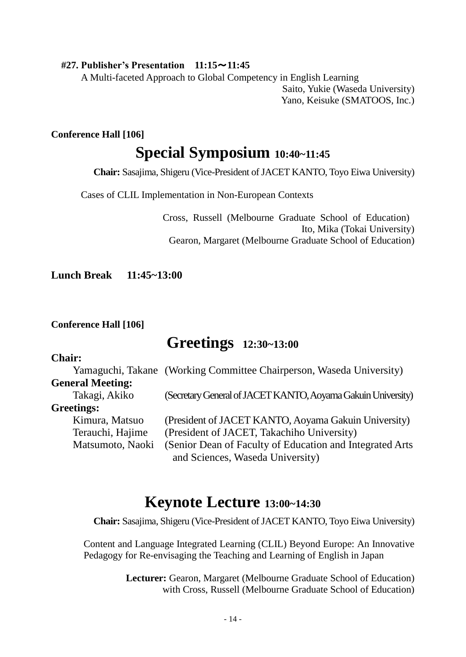#### **#27. Publisher's Presentation 11:15**~**11:45**

A Multi-faceted Approach to Global Competency in English Learning Saito, Yukie (Waseda University) Yano, Keisuke (SMATOOS, Inc.)

#### **Conference Hall [106]**

# **Special Symposium 10:40~11:45**

**Chair:** Sasajima, Shigeru (Vice-President of JACET KANTO, Toyo Eiwa University)

Cases of CLIL Implementation in Non-European Contexts

Cross, Russell (Melbourne Graduate School of Education) Ito, Mika (Tokai University) Gearon, Margaret (Melbourne Graduate School of Education)

**Lunch Break 11:45~13:00**

#### **Conference Hall [106]**

# **Greetings 12:30~13:00**

# **Chair:**

|                         | Yamaguchi, Takane (Working Committee Chairperson, Waseda University) |
|-------------------------|----------------------------------------------------------------------|
| <b>General Meeting:</b> |                                                                      |
| Takagi, Akiko           | (Secretary General of JACET KANTO, Aoyama Gakuin University)         |
| <b>Greetings:</b>       |                                                                      |
| Kimura, Matsuo          | (President of JACET KANTO, Aoyama Gakuin University)                 |
| Terauchi, Hajime        | (President of JACET, Takachiho University)                           |
| Matsumoto, Naoki        | (Senior Dean of Faculty of Education and Integrated Arts)            |
|                         | and Sciences, Waseda University)                                     |

# **Keynote Lecture 13:00~14:30**

**Chair:** Sasajima, Shigeru (Vice-President of JACET KANTO, Toyo Eiwa University)

Content and Language Integrated Learning (CLIL) Beyond Europe: An Innovative Pedagogy for Re-envisaging the Teaching and Learning of English in Japan

> **Lecturer:** Gearon, Margaret (Melbourne Graduate School of Education) with Cross, Russell (Melbourne Graduate School of Education)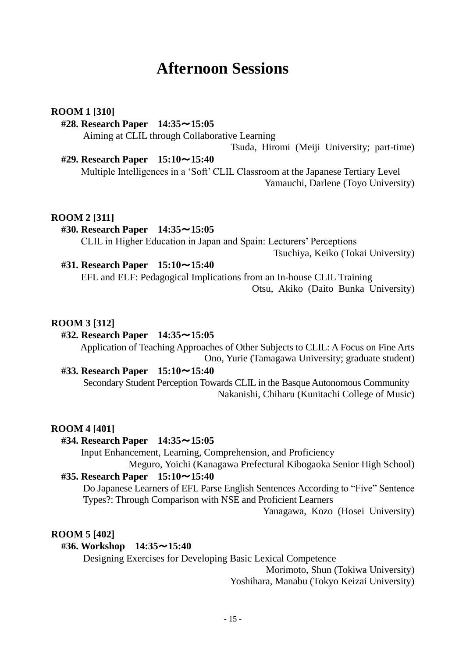# **Afternoon Sessions**

#### **ROOM 1 [310]**

#### **#28. Research Paper 14:35**~**15:05**

Aiming at CLIL through Collaborative Learning

Tsuda, Hiromi (Meiji University; part-time)

#### **#29. Research Paper 15:10**~**15:40**

Multiple Intelligences in a 'Soft' CLIL Classroom at the Japanese Tertiary Level Yamauchi, Darlene (Toyo University)

#### **ROOM 2 [311]**

#### **#30. Research Paper 14:35**~**15:05**

CLIL in Higher Education in Japan and Spain: Lecturers' Perceptions Tsuchiya, Keiko (Tokai University)

#### **#31. Research Paper 15:10**~**15:40**

EFL and ELF: Pedagogical Implications from an In-house CLIL Training Otsu, Akiko (Daito Bunka University)

#### **ROOM 3 [312]**

#### **#32. Research Paper 14:35**~**15:05**

Application of Teaching Approaches of Other Subjects to CLIL: A Focus on Fine Arts Ono, Yurie (Tamagawa University; graduate student)

#### **#33. Research Paper 15:10**~**15:40**

Secondary Student Perception Towards CLIL in the Basque Autonomous Community Nakanishi, Chiharu (Kunitachi College of Music)

#### **ROOM 4 [401]**

# **#34. Research Paper 14:35**~**15:05**

Input Enhancement, Learning, Comprehension, and Proficiency

Meguro, Yoichi (Kanagawa Prefectural Kibogaoka Senior High School) **#35. Research Paper 15:10**~**15:40**

Do Japanese Learners of EFL Parse English Sentences According to "Five" Sentence Types?: Through Comparison with NSE and Proficient Learners

Yanagawa, Kozo (Hosei University)

### **ROOM 5 [402]**

#### **#36. Workshop 14:35**~**15:40**

Designing Exercises for Developing Basic Lexical Competence

Morimoto, Shun (Tokiwa University) Yoshihara, Manabu (Tokyo Keizai University)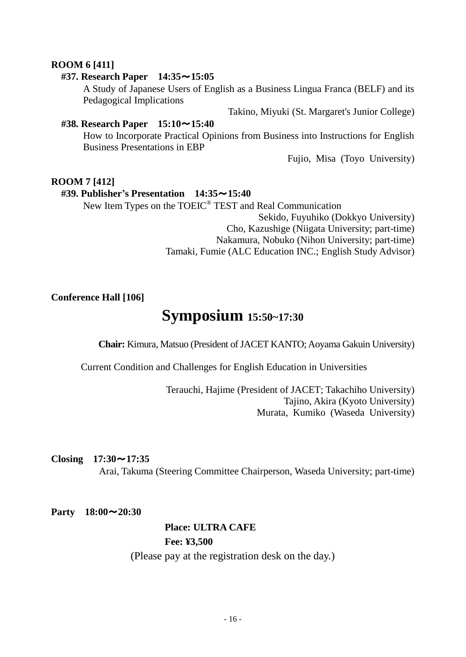#### **ROOM 6 [411]**

#### **#37. Research Paper 14:35**~**15:05**

A Study of Japanese Users of English as a Business Lingua Franca (BELF) and its Pedagogical Implications

Takino, Miyuki (St. Margaret's Junior College)

#### **#38. Research Paper 15:10**~**15:40**

How to Incorporate Practical Opinions from Business into Instructions for English Business Presentations in EBP

Fujio, Misa (Toyo University)

#### **ROOM 7 [412]**

#### **#39. Publisher's Presentation 14:35**~**15:40**

New Item Types on the TOEIC® TEST and Real Communication

Sekido, Fuyuhiko (Dokkyo University) Cho, Kazushige (Niigata University; part-time) Nakamura, Nobuko (Nihon University; part-time) Tamaki, Fumie (ALC Education INC.; English Study Advisor)

#### **Conference Hall [106]**

# **Symposium 15:50~17:30**

**Chair:** Kimura, Matsuo (President of JACET KANTO; Aoyama Gakuin University)

Current Condition and Challenges for English Education in Universities

Terauchi, Hajime (President of JACET; Takachiho University) Tajino, Akira (Kyoto University) Murata, Kumiko (Waseda University)

#### **Closing 17:30**~**17:35**

Arai, Takuma (Steering Committee Chairperson, Waseda University; part-time)

#### **Party 18:00**~**20:30**

## **Place: ULTRA CAFE Fee: ¥3,500**

(Please pay at the registration desk on the day.)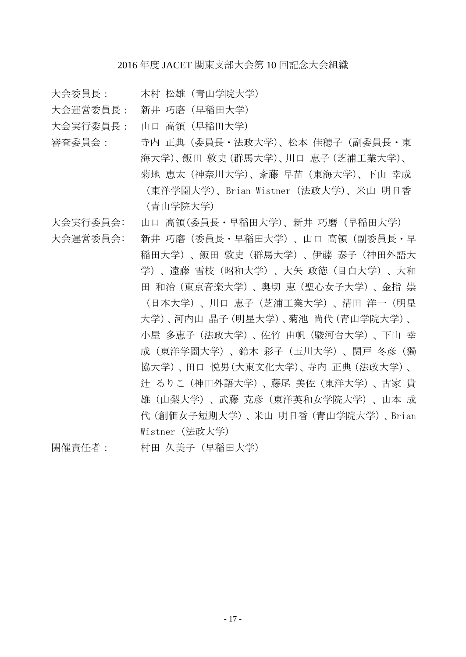大会委員長: 木村 松雄(青山学院大学)

大会運営委員長: 新井 巧磨(早稲田大学)

大会実行委員長: 山口 高領(早稲田大学)

審査委員会: 寺内 正典(委員長・法政大学)、松本 佳穂子(副委員長・東 海大学)、飯田 敦史(群馬大学)、川口 恵子(芝浦工業大学)、 菊地 恵太(神奈川大学)、斎藤 早苗(東海大学)、下山 幸成 (東洋学園大学)、Brian Wistner(法政大学)、米山 明日香 (青山学院大学)

大会実行委員会: 山口 高領(委員長・早稲田大学)、新井 巧磨(早稲田大学) 大会運営委員会: 新井 巧磨(委員長・早稲田大学)、山口 高領(副委員長・早 稲田大学)、飯田 敦史(群馬大学)、伊藤 泰子(神田外語大 学)、遠藤 雪枝(昭和大学)、大矢 政徳(目白大学)、大和 田 和治(東京音楽大学)、奥切 恵(聖心女子大学)、金指 崇 (日本大学)、川口 恵子(芝浦工業大学)、清田 洋一(明星 大学)、河内山 晶子(明星大学)、菊池 尚代(青山学院大学)、 小屋 多恵子(法政大学)、佐竹 由帆(駿河台大学)、下山 幸 成(東洋学園大学)、鈴木 彩子(玉川大学)、関戸 冬彦(獨 協大学)、田口 悦男(大東文化大学)、寺内 正典(法政大学)、 辻 るりこ(神田外語大学)、藤尾 美佐(東洋大学)、古家 貴 雄(山梨大学)、武藤 克彦(東洋英和女学院大学)、山本 成 代(創価女子短期大学)、米山 明日香(青山学院大学)、Brian Wistner(法政大学) 開催責任者: 村田 久美子(早稲田大学)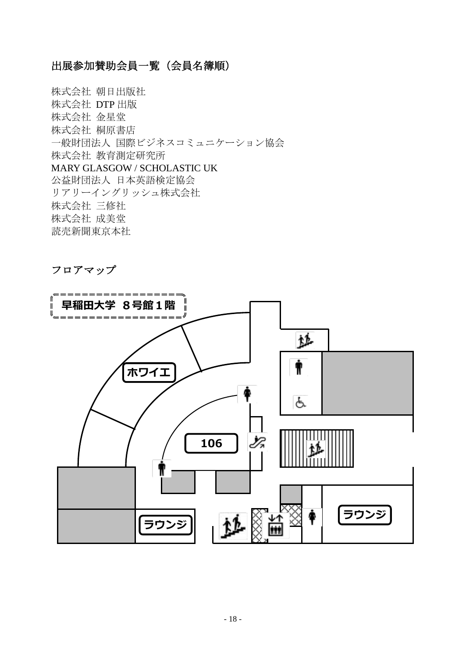# 出展参加賛助会員一覧(会員名簿順)

株式会社 朝日出版社 株式会社 DTP 出版 株式会社 金星堂 株式会社 桐原書店 一般財団法人 国際ビジネスコミュニケーション協会 株式会社 教育測定研究所 MARY GLASGOW / SCHOLASTIC UK 公益財団法人 日本英語検定協会 リアリーイングリッシュ株式会社 株式会社 三修社 株式会社 成美堂 読売新聞東京本社

フロアマップ

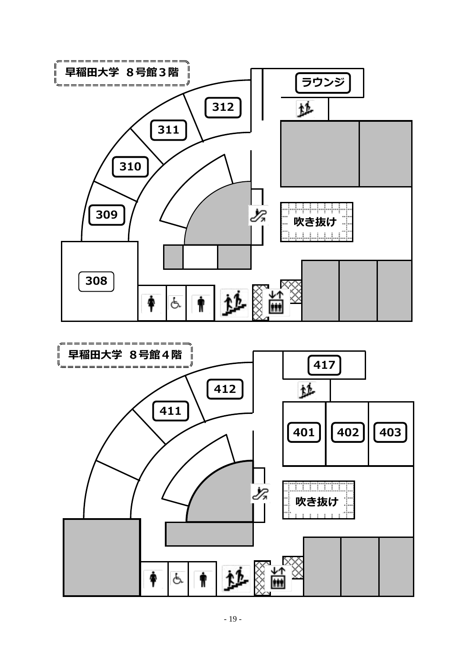